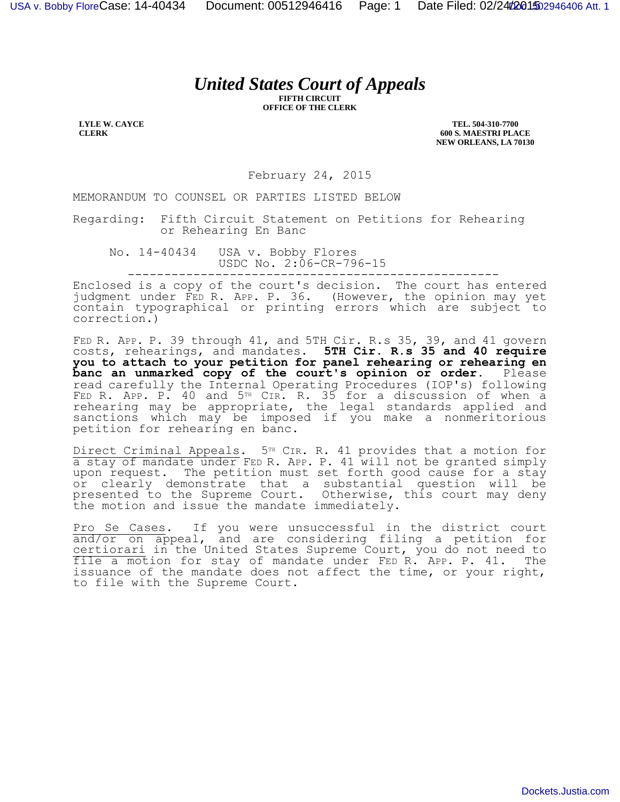## *United States Court of Appeals*

**FIFTH CIRCUIT OFFICE OF THE CLERK**

**LYLE W. CAYCE CLERK**

**TEL. 504-310-7700 600 S. MAESTRI PLACE NEW ORLEANS, LA 70130**

February 24, 2015

MEMORANDUM TO COUNSEL OR PARTIES LISTED BELOW

Regarding: Fifth Circuit Statement on Petitions for Rehearing or Rehearing En Banc

No. 14-40434 USA v. Bobby Flores USDC No. 2:06-CR-796-15 ---------------------------------------------------

Enclosed is a copy of the court's decision. The court has entered judgment under FED R. APP. P. 36. (However, the opinion may yet contain typographical or printing errors which are subject to correction.)

FED R. APP. P. 39 through 41, and 5TH Cir. R.s 35, 39, and 41 govern costs, rehearings, and mandates. **5TH Cir. R.s 35 and 40 require you to attach to your petition for panel rehearing or rehearing en**  banc an unmarked copy of the court's opinion or order. Please read carefully the Internal Operating Procedures (IOP's) following FED R. APP. P. 40 and 5TH CIR. R. 35 for a discussion of when a rehearing may be appropriate, the legal standards applied and sanctions which may be imposed if you make a nonmeritorious petition for rehearing en banc.

Direct Criminal Appeals. 5<sup>TH</sup> CIR. R. 41 provides that a motion for a stay of mandate under FED R. APP. P. 41 will not be granted simply upon request. The petition must set forth good cause for a stay or clearly demonstrate that a substantial question will be presented to the Supreme Court. Otherwise, this court may deny the motion and issue the mandate immediately.

Pro Se Cases. If you were unsuccessful in the district court and/or on appeal, and are considering filing a petition for certiorari in the United States Supreme Court, you do not need to file a motion for stay of mandate under FED R. APP. P. 41. The issuance of the mandate does not affect the time, or your right, to file with the Supreme Court.